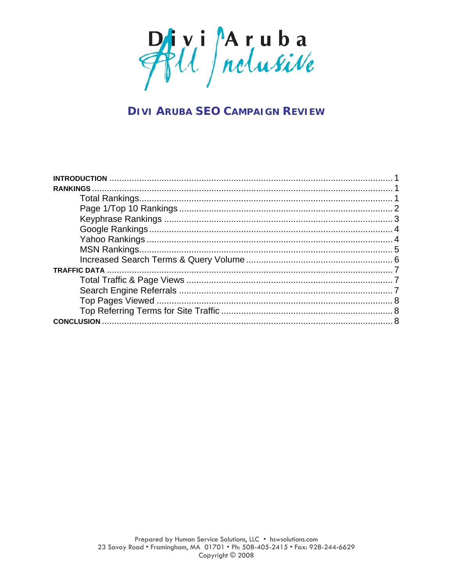

# **DIVI ARUBA SEO CAMPAIGN REVIEW**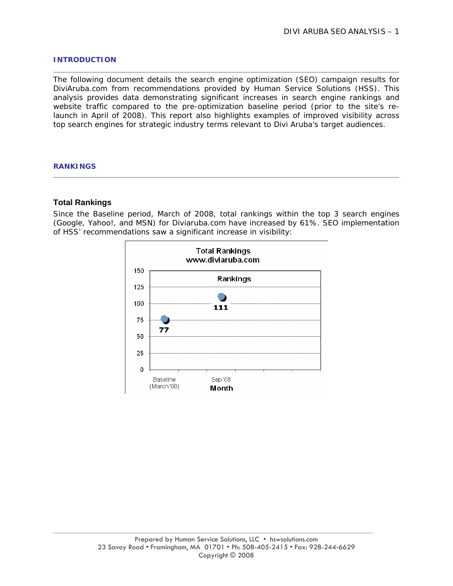#### **INTRODUCTION**

The following document details the search engine optimization (SEO) campaign results for DiviAruba.com from recommendations provided by Human Service Solutions (HSS). This analysis provides data demonstrating significant increases in search engine rankings and website traffic compared to the pre-optimization baseline period (prior to the site's relaunch in April of 2008). This report also highlights examples of improved visibility across top search engines for strategic industry terms relevant to Divi Aruba's target audiences.

#### **RANKINGS**

#### **Total Rankings**

Since the Baseline period, March of 2008, total rankings within the top 3 search engines (Google, Yahoo!, and MSN) for Diviaruba.com have increased by 61%. SEO implementation of HSS' recommendations saw a significant increase in visibility:

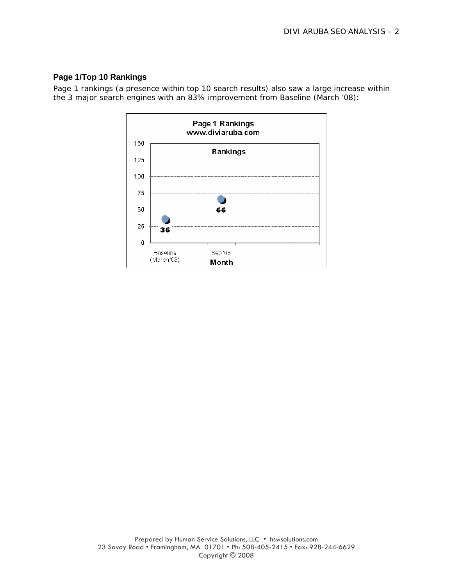## **Page 1/Top 10 Rankings**

Page 1 rankings (a presence within top 10 search results) also saw a large increase within the 3 major search engines with an 83% improvement from Baseline (March '08):

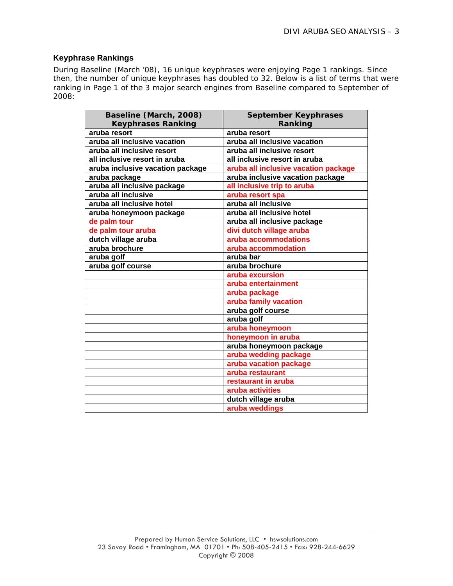## **Keyphrase Rankings**

During Baseline (March '08), 16 unique keyphrases were enjoying Page 1 rankings. Since then, the number of unique keyphrases has doubled to 32. Below is a list of terms that were ranking in Page 1 of the 3 major search engines from Baseline compared to September of 2008:

| Baseline (March, 2008)           | <b>September Keyphrases</b>          |
|----------------------------------|--------------------------------------|
| <b>Keyphrases Ranking</b>        | Ranking                              |
| aruba resort                     | aruba resort                         |
| aruba all inclusive vacation     | aruba all inclusive vacation         |
| aruba all inclusive resort       | aruba all inclusive resort           |
| all inclusive resort in aruba    | all inclusive resort in aruba        |
| aruba inclusive vacation package | aruba all inclusive vacation package |
| aruba package                    | aruba inclusive vacation package     |
| aruba all inclusive package      | all inclusive trip to aruba          |
| aruba all inclusive              | aruba resort spa                     |
| aruba all inclusive hotel        | aruba all inclusive                  |
| aruba honeymoon package          | aruba all inclusive hotel            |
| de palm tour                     | aruba all inclusive package          |
| de palm tour aruba               | divi dutch village aruba             |
| dutch village aruba              | aruba accommodations                 |
| aruba brochure                   | aruba accommodation                  |
| aruba golf                       | aruba bar                            |
| aruba golf course                | aruba brochure                       |
|                                  | aruba excursion                      |
|                                  | aruba entertainment                  |
|                                  | aruba package                        |
|                                  | aruba family vacation                |
|                                  | aruba golf course                    |
|                                  | aruba golf                           |
|                                  | aruba honeymoon                      |
|                                  | honeymoon in aruba                   |
|                                  | aruba honeymoon package              |
|                                  | aruba wedding package                |
|                                  | aruba vacation package               |
|                                  | aruba restaurant                     |
|                                  | restaurant in aruba                  |
|                                  | aruba activities                     |
|                                  | dutch village aruba                  |
|                                  | aruba weddings                       |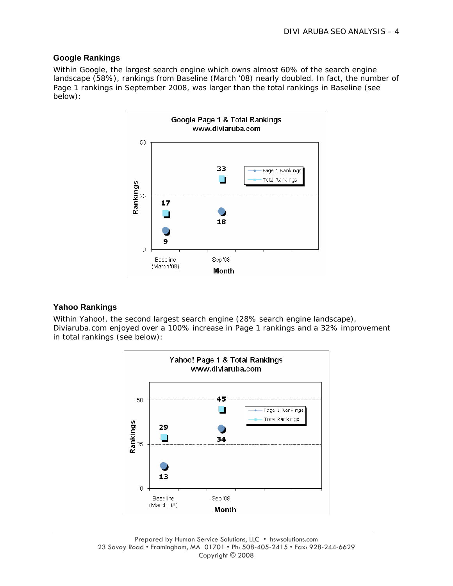## **Google Rankings**

Within Google, the largest search engine which owns almost 60% of the search engine landscape (58%), rankings from Baseline (March '08) nearly doubled. In fact, the number of Page 1 rankings in September 2008, was larger than the total rankings in Baseline (see below):



## **Yahoo Rankings**

Within Yahoo!, the second largest search engine (28% search engine landscape), Diviaruba.com enjoyed over a 100% increase in Page 1 rankings and a 32% improvement in total rankings (see below):

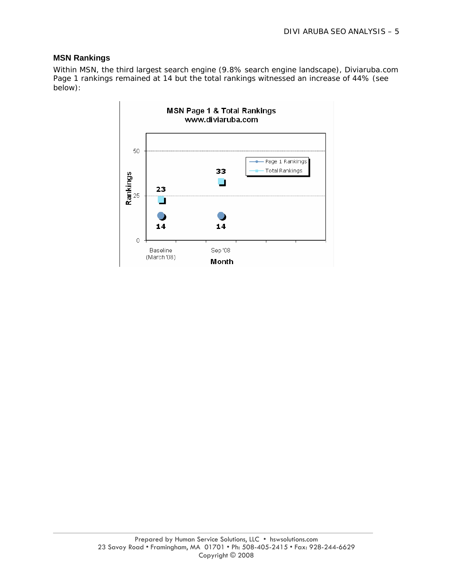## **MSN Rankings**

Within MSN, the third largest search engine (9.8% search engine landscape), Diviaruba.com Page 1 rankings remained at 14 but the total rankings witnessed an increase of 44% (see below):

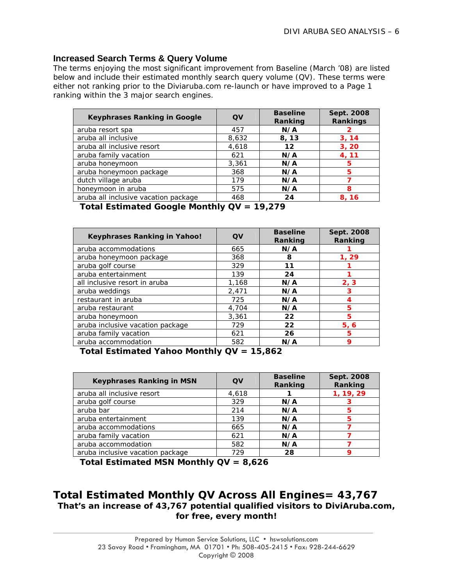## **Increased Search Terms & Query Volume**

The terms enjoying the most significant improvement from Baseline (March '08) are listed below and include their estimated monthly search query volume (QV). These terms were either not ranking prior to the Diviaruba.com re-launch or have improved to a Page 1 ranking within the 3 major search engines.

| <b>Keyphrases Ranking in Google</b>  | QV    | <b>Baseline</b><br>Ranking | Sept. 2008<br>Rankings |
|--------------------------------------|-------|----------------------------|------------------------|
| aruba resort spa                     | 457   | N/A                        |                        |
| aruba all inclusive                  | 8,632 | 8,13                       | 3, 14                  |
| aruba all inclusive resort           | 4,618 | 12                         | 3, 20                  |
| aruba family vacation                | 621   | N/A                        | 4, 11                  |
| aruba honeymoon                      | 3,361 | N/A                        | 5                      |
| aruba honeymoon package              | 368   | N/A                        | 5                      |
| dutch village aruba                  | 179   | N/A                        |                        |
| honeymoon in aruba                   | 575   | N/A                        | 8                      |
| aruba all inclusive vacation package | 468   | 24                         | 8, 16                  |

**Total Estimated Google Monthly QV = 19,279** 

| <b>Keyphrases Ranking in Yahoo!</b> | QV    | <b>Baseline</b><br>Ranking | Sept. 2008<br>Ranking |
|-------------------------------------|-------|----------------------------|-----------------------|
| aruba accommodations                | 665   | N/A                        |                       |
| aruba honeymoon package             | 368   | 8                          | 1, 29                 |
| aruba golf course                   | 329   | 11                         |                       |
| aruba entertainment                 | 139   | 24                         |                       |
| all inclusive resort in aruba       | 1,168 | N/A                        | 2, 3                  |
| aruba weddings                      | 2,471 | N/A                        | 3                     |
| restaurant in aruba                 | 725   | N/A                        |                       |
| aruba restaurant                    | 4,704 | N/A                        | 5                     |
| aruba honeymoon                     | 3,361 | 22                         | 5                     |
| aruba inclusive vacation package    | 729   | 22                         | 5, 6                  |
| aruba family vacation               | 621   | 26                         | 5                     |
| aruba accommodation                 | 582   | N/A                        | 9                     |

**Total Estimated Yahoo Monthly QV = 15,862** 

| <b>Keyphrases Ranking in MSN</b> | QV    | <b>Baseline</b><br>Ranking | Sept. 2008<br>Ranking |
|----------------------------------|-------|----------------------------|-----------------------|
| aruba all inclusive resort       | 4,618 |                            | 1, 19, 29             |
| aruba golf course                | 329   | N/A                        |                       |
| aruba bar                        | 214   | N/A                        | 5                     |
| aruba entertainment              | 139   | N/A                        | 5                     |
| aruba accommodations             | 665   | N/A                        |                       |
| aruba family vacation            | 621   | N/A                        |                       |
| aruba accommodation              | 582   | N/A                        |                       |
| aruba inclusive vacation package | 729   | 28                         |                       |

**Total Estimated MSN Monthly QV = 8,626**

## **Total Estimated Monthly QV Across All Engines= 43,767 That's an increase of 43,767 potential qualified visitors to DiviAruba.com, for free, every month!**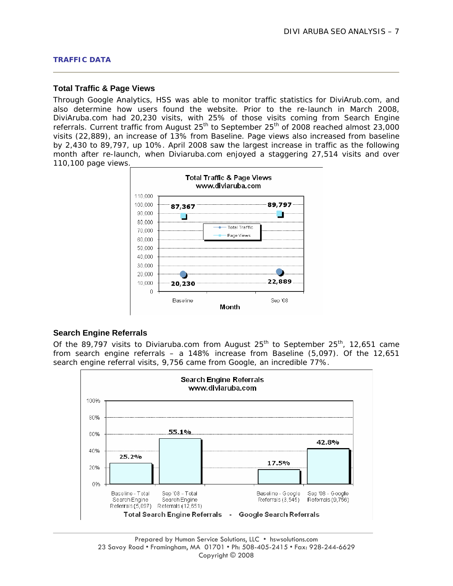#### **Total Traffic & Page Views**

Through Google Analytics, HSS was able to monitor traffic statistics for DiviArub.com, and also determine how users found the website. Prior to the re-launch in March 2008, DiviAruba.com had 20,230 visits, with 25% of those visits coming from Search Engine referrals. Current traffic from August  $25<sup>th</sup>$  to September  $25<sup>th</sup>$  of 2008 reached almost 23,000 visits (22,889), an increase of 13% from Baseline. Page views also increased from baseline by 2,430 to 89,797, up 10%. April 2008 saw the largest increase in traffic as the following month after re-launch, when Diviaruba.com enjoyed a staggering 27,514 visits and over 110,100 page views.



#### **Search Engine Referrals**

Of the 89,797 visits to Diviaruba.com from August  $25<sup>th</sup>$  to September  $25<sup>th</sup>$ , 12,651 came from search engine referrals – a 148% increase from Baseline (5,097). Of the 12,651 search engine referral visits, 9,756 came from Google, an incredible 77%.